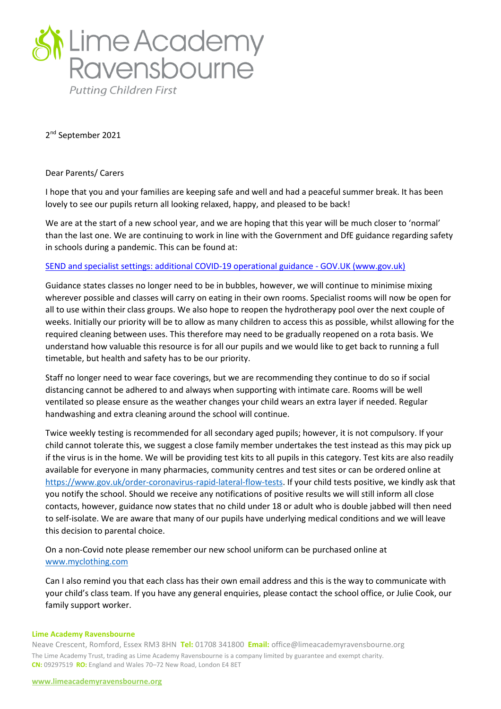

2 nd September 2021

## Dear Parents/ Carers

I hope that you and your families are keeping safe and well and had a peaceful summer break. It has been lovely to see our pupils return all looking relaxed, happy, and pleased to be back!

We are at the start of a new school year, and we are hoping that this year will be much closer to 'normal' than the last one. We are continuing to work in line with the Government and DfE guidance regarding safety in schools during a pandemic. This can be found at:

## [SEND and specialist settings: additional COVID-19 operational guidance -](https://www.gov.uk/government/publications/guidance-for-full-opening-special-schools-and-other-specialist-settings/send-and-specialist-settings-additional-covid-19-operational-guidance-applies-after-step-4) GOV.UK (www.gov.uk)

Guidance states classes no longer need to be in bubbles, however, we will continue to minimise mixing wherever possible and classes will carry on eating in their own rooms. Specialist rooms will now be open for all to use within their class groups. We also hope to reopen the hydrotherapy pool over the next couple of weeks. Initially our priority will be to allow as many children to access this as possible, whilst allowing for the required cleaning between uses. This therefore may need to be gradually reopened on a rota basis. We understand how valuable this resource is for all our pupils and we would like to get back to running a full timetable, but health and safety has to be our priority.

Staff no longer need to wear face coverings, but we are recommending they continue to do so if social distancing cannot be adhered to and always when supporting with intimate care. Rooms will be well ventilated so please ensure as the weather changes your child wears an extra layer if needed. Regular handwashing and extra cleaning around the school will continue.

Twice weekly testing is recommended for all secondary aged pupils; however, it is not compulsory. If your child cannot tolerate this, we suggest a close family member undertakes the test instead as this may pick up if the virus is in the home. We will be providing test kits to all pupils in this category. Test kits are also readily available for everyone in many pharmacies, community centres and test sites or can be ordered online at [https://www.gov.uk/order-coronavirus-rapid-lateral-flow-tests.](https://www.gov.uk/order-coronavirus-rapid-lateral-flow-tests) If your child tests positive, we kindly ask that you notify the school. Should we receive any notifications of positive results we will still inform all close contacts, however, guidance now states that no child under 18 or adult who is double jabbed will then need to self-isolate. We are aware that many of our pupils have underlying medical conditions and we will leave this decision to parental choice.

On a non-Covid note please remember our new school uniform can be purchased online at [www.myclothing.com](http://www.myclothing.com/)

Can I also remind you that each class has their own email address and this is the way to communicate with your child's class team. If you have any general enquiries, please contact the school office, or Julie Cook, our family support worker.

## **Lime Academy Ravensbourne**

Neave Crescent, Romford, Essex RM3 8HN **Tel:** 01708 341800 **Email:** office@limeacademyravensbourne.org The Lime Academy Trust, trading as Lime Academy Ravensbourne is a company limited by guarantee and exempt charity. **CN:** 09297519 **RO:** England and Wales 70–72 New Road, London E4 8ET